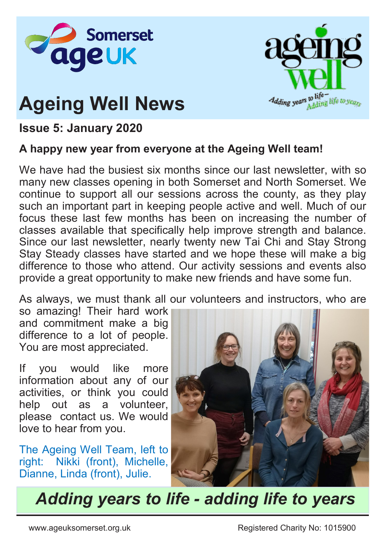

# **Ageing Well News**



### **Issue 5: January 2020**

#### **A happy new year from everyone at the Ageing Well team!**

We have had the busiest six months since our last newsletter, with so many new classes opening in both Somerset and North Somerset. We continue to support all our sessions across the county, as they play such an important part in keeping people active and well. Much of our focus these last few months has been on increasing the number of classes available that specifically help improve strength and balance. Since our last newsletter, nearly twenty new Tai Chi and Stay Strong Stay Steady classes have started and we hope these will make a big difference to those who attend. Our activity sessions and events also provide a great opportunity to make new friends and have some fun.

As always, we must thank all our volunteers and instructors, who are

so amazing! Their hard work and commitment make a big difference to a lot of people. You are most appreciated.

If you would like more information about any of our activities, or think you could help out as a volunteer, please contact us. We would love to hear from you.

The Ageing Well Team, left to right: Nikki (front), Michelle, Dianne, Linda (front), Julie.



*Adding years to life - adding life to years*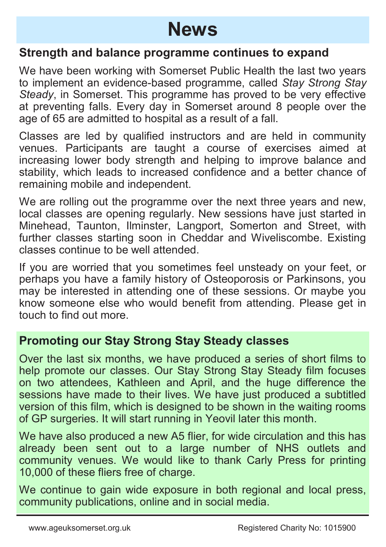## **News**

#### **Strength and balance programme continues to expand**

We have been working with Somerset Public Health the last two years to implement an evidence-based programme, called *Stay Strong Stay Steady*, in Somerset. This programme has proved to be very effective at preventing falls. Every day in Somerset around 8 people over the age of 65 are admitted to hospital as a result of a fall.

Classes are led by qualified instructors and are held in community venues. Participants are taught a course of exercises aimed at increasing lower body strength and helping to improve balance and stability, which leads to increased confidence and a better chance of remaining mobile and independent.

We are rolling out the programme over the next three years and new, local classes are opening regularly. New sessions have just started in Minehead, Taunton, Ilminster, Langport, Somerton and Street, with further classes starting soon in Cheddar and Wiveliscombe. Existing classes continue to be well attended.

If you are worried that you sometimes feel unsteady on your feet, or perhaps you have a family history of Osteoporosis or Parkinsons, you may be interested in attending one of these sessions. Or maybe you know someone else who would benefit from attending. Please get in touch to find out more.

### **Promoting our Stay Strong Stay Steady classes**

Over the last six months, we have produced a series of short films to help promote our classes. Our Stay Strong Stay Steady film focuses on two attendees, Kathleen and April, and the huge difference the sessions have made to their lives. We have just produced a subtitled version of this film, which is designed to be shown in the waiting rooms of GP surgeries. It will start running in Yeovil later this month.

We have also produced a new A5 flier, for wide circulation and this has already been sent out to a large number of NHS outlets and community venues. We would like to thank Carly Press for printing 10,000 of these fliers free of charge.

We continue to gain wide exposure in both regional and local press, community publications, online and in social media.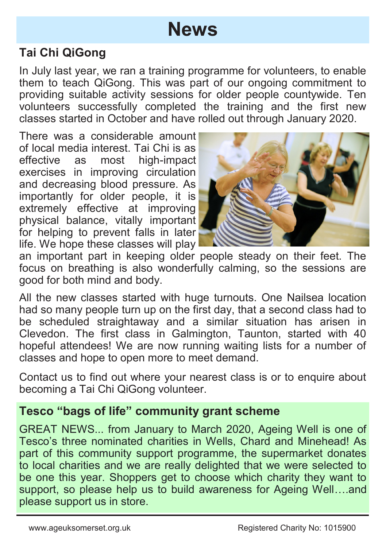## **News**

### **Tai Chi QiGong**

In July last year, we ran a training programme for volunteers, to enable them to teach QiGong. This was part of our ongoing commitment to providing suitable activity sessions for older people countywide. Ten volunteers successfully completed the training and the first new classes started in October and have rolled out through January 2020.

There was a considerable amount of local media interest. Tai Chi is as effective as most high-impact exercises in improving circulation and decreasing blood pressure. As importantly for older people, it is extremely effective at improving physical balance, vitally important for helping to prevent falls in later life. We hope these classes will play



an important part in keeping older people steady on their feet. The focus on breathing is also wonderfully calming, so the sessions are good for both mind and body.

All the new classes started with huge turnouts. One Nailsea location had so many people turn up on the first day, that a second class had to be scheduled straightaway and a similar situation has arisen in Clevedon. The first class in Galmington, Taunton, started with 40 hopeful attendees! We are now running waiting lists for a number of classes and hope to open more to meet demand.

Contact us to find out where your nearest class is or to enquire about becoming a Tai Chi QiGong volunteer.

### **Tesco "bags of life" community grant scheme**

GREAT NEWS... from January to March 2020, Ageing Well is one of Tesco's three nominated charities in Wells, Chard and Minehead! As part of this community support programme, the supermarket donates to local charities and we are really delighted that we were selected to be one this year. Shoppers get to choose which charity they want to support, so please help us to build awareness for Ageing Well....and please support us in store.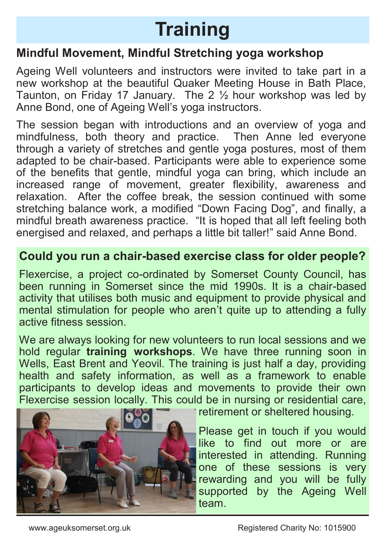# **Training**

### **Mindful Movement, Mindful Stretching yoga workshop**

Ageing Well volunteers and instructors were invited to take part in a new workshop at the beautiful Quaker Meeting House in Bath Place, Taunton, on Friday 17 January. The 2  $\frac{1}{2}$  hour workshop was led by Anne Bond, one of Ageing Well's yoga instructors.

The session began with introductions and an overview of yoga and mindfulness, both theory and practice. Then Anne led everyone through a variety of stretches and gentle yoga postures, most of them adapted to be chair-based. Participants were able to experience some of the benefits that gentle, mindful yoga can bring, which include an increased range of movement, greater flexibility, awareness and relaxation. After the coffee break, the session continued with some stretching balance work, a modified "Down Facing Dog", and finally, a mindful breath awareness practice. "It is hoped that all left feeling both energised and relaxed, and perhaps a little bit taller!" said Anne Bond.

### **Could you run a chair-based exercise class for older people?**

Flexercise, a project co-ordinated by Somerset County Council, has been running in Somerset since the mid 1990s. It is a chair-based activity that utilises both music and equipment to provide physical and mental stimulation for people who aren't quite up to attending a fully active fitness session.

We are always looking for new volunteers to run local sessions and we hold regular **training workshops**. We have three running soon in Wells, East Brent and Yeovil. The training is just half a day, providing health and safety information, as well as a framework to enable participants to develop ideas and movements to provide their own Flexercise session locally. This could be in nursing or residential care,



retirement or sheltered housing.

Please get in touch if you would like to find out more or are interested in attending. Running one of these sessions is very rewarding and you will be fully supported by the Ageing Well team.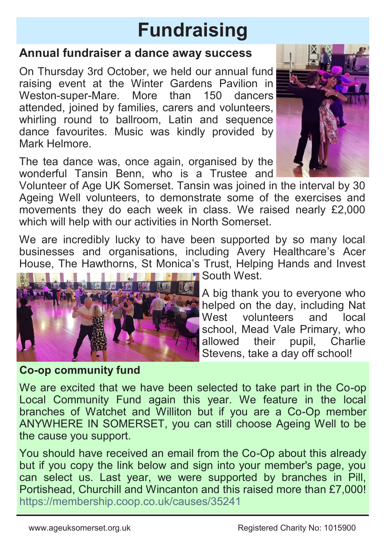# **Fundraising**

### **Annual fundraiser a dance away success**

On Thursday 3rd October, we held our annual fund raising event at the Winter Gardens Pavilion in<br>Weston-super-Mare More than 150 dancers Weston-super-Mare. More attended, joined by families, carers and volunteers, whirling round to ballroom. Latin and sequence dance favourites. Music was kindly provided by Mark Helmore.

The tea dance was, once again, organised by the wonderful Tansin Benn, who is a Trustee and

Volunteer of Age UK Somerset. Tansin was joined in the interval by 30 Ageing Well volunteers, to demonstrate some of the exercises and movements they do each week in class. We raised nearly £2,000 which will help with our activities in North Somerset.

We are incredibly lucky to have been supported by so many local businesses and organisations, including Avery Healthcare's Acer House, The Hawthorns, St Monica's Trust, Helping Hands and Invest



**Co-op community fund**

**Fig. 19 South West.** 

A big thank you to everyone who helped on the day, including Nat West volunteers and local school, Mead Vale Primary, who allowed their pupil, Charlie Stevens, take a day off school!

We are excited that we have been selected to take part in the Co-op Local Community Fund again this year. We feature in the local branches of Watchet and Williton but if you are a Co-Op member ANYWHERE IN SOMERSET, you can still choose Ageing Well to be the cause you support.

You should have received an email from the Co-Op about this already but if you copy the link below and sign into your member's page, you can select us. Last year, we were supported by branches in Pill, Portishead, Churchill and Wincanton and this raised more than £7,000! https://membership.coop.co.uk/causes/35241

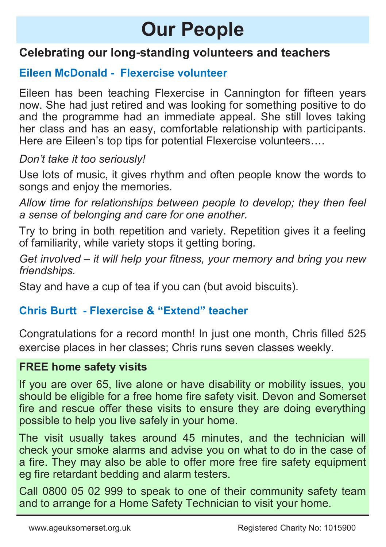# **Our People**

### **Celebrating our long-standing volunteers and teachers**

### **Eileen McDonald - Flexercise volunteer**

Eileen has been teaching Flexercise in Cannington for fifteen years now. She had just retired and was looking for something positive to do and the programme had an immediate appeal. She still loves taking her class and has an easy, comfortable relationship with participants. Here are Eileen's top tips for potential Flexercise volunteers….

*Don't take it too seriously!*

Use lots of music, it gives rhythm and often people know the words to songs and enjoy the memories.

*Allow time for relationships between people to develop; they then feel a sense of belonging and care for one another.* 

Try to bring in both repetition and variety. Repetition gives it a feeling of familiarity, while variety stops it getting boring.

*Get involved – it will help your fitness, your memory and bring you new friendships.*

Stay and have a cup of tea if you can (but avoid biscuits).

### **Chris Burtt - Flexercise & "Extend" teacher**

Congratulations for a record month! In just one month, Chris filled 525 exercise places in her classes; Chris runs seven classes weekly.

#### **FREE home safety visits**

If you are over 65, live alone or have disability or mobility issues, you should be eligible for a free home fire safety visit. Devon and Somerset fire and rescue offer these visits to ensure they are doing everything possible to help you live safely in your home.

The visit usually takes around 45 minutes, and the technician will check your smoke alarms and advise you on what to do in the case of a fire. They may also be able to offer more free fire safety equipment eg fire retardant bedding and alarm testers.

Call 0800 05 02 999 to speak to one of their community safety team and to arrange for a Home Safety Technician to visit your home.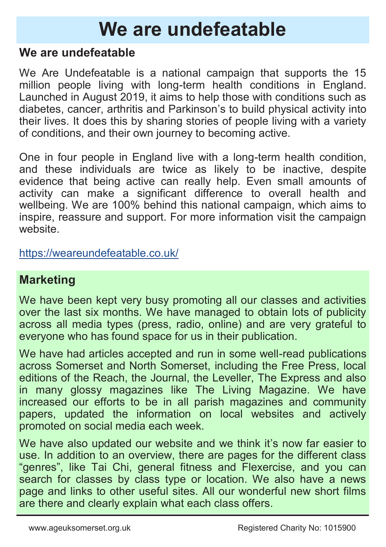# **We are undefeatable**

### **We are undefeatable**

We Are Undefeatable is a national campaign that supports the 15 million people living with long-term health conditions in England. Launched in August 2019, it aims to help those with conditions such as diabetes, cancer, arthritis and Parkinson's to build physical activity into their lives. It does this by sharing stories of people living with a variety of conditions, and their own journey to becoming active.

One in four people in England live with a long-term health condition, and these individuals are twice as likely to be inactive, despite evidence that being active can really help. Even small amounts of activity can make a significant difference to overall health and wellbeing. We are 100% behind this national campaign, which aims to inspire, reassure and support. For more information visit the campaign website.

<https://weareundefeatable.co.uk/>

### **Marketing**

We have been kept very busy promoting all our classes and activities over the last six months. We have managed to obtain lots of publicity across all media types (press, radio, online) and are very grateful to everyone who has found space for us in their publication.

We have had articles accepted and run in some well-read publications across Somerset and North Somerset, including the Free Press, local editions of the Reach, the Journal, the Leveller, The Express and also in many glossy magazines like The Living Magazine. We have increased our efforts to be in all parish magazines and community papers, updated the information on local websites and actively promoted on social media each week.

We have also updated our website and we think it's now far easier to use. In addition to an overview, there are pages for the different class "genres", like Tai Chi, general fitness and Flexercise, and you can search for classes by class type or location. We also have a news page and links to other useful sites. All our wonderful new short films are there and clearly explain what each class offers.